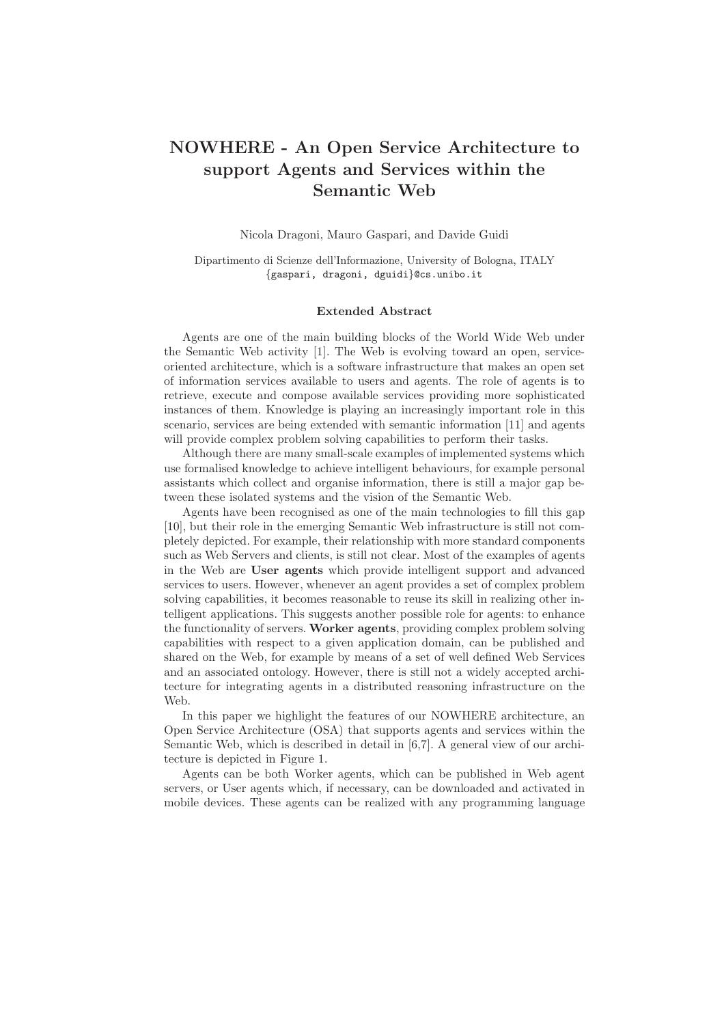## NOWHERE - An Open Service Architecture to support Agents and Services within the Semantic Web

Nicola Dragoni, Mauro Gaspari, and Davide Guidi

Dipartimento di Scienze dell'Informazione, University of Bologna, ITALY {gaspari, dragoni, dguidi}@cs.unibo.it

## Extended Abstract

Agents are one of the main building blocks of the World Wide Web under the Semantic Web activity [1]. The Web is evolving toward an open, serviceoriented architecture, which is a software infrastructure that makes an open set of information services available to users and agents. The role of agents is to retrieve, execute and compose available services providing more sophisticated instances of them. Knowledge is playing an increasingly important role in this scenario, services are being extended with semantic information [11] and agents will provide complex problem solving capabilities to perform their tasks.

Although there are many small-scale examples of implemented systems which use formalised knowledge to achieve intelligent behaviours, for example personal assistants which collect and organise information, there is still a major gap between these isolated systems and the vision of the Semantic Web.

Agents have been recognised as one of the main technologies to fill this gap [10], but their role in the emerging Semantic Web infrastructure is still not completely depicted. For example, their relationship with more standard components such as Web Servers and clients, is still not clear. Most of the examples of agents in the Web are User agents which provide intelligent support and advanced services to users. However, whenever an agent provides a set of complex problem solving capabilities, it becomes reasonable to reuse its skill in realizing other intelligent applications. This suggests another possible role for agents: to enhance the functionality of servers. Worker agents, providing complex problem solving capabilities with respect to a given application domain, can be published and shared on the Web, for example by means of a set of well defined Web Services and an associated ontology. However, there is still not a widely accepted architecture for integrating agents in a distributed reasoning infrastructure on the Web.

In this paper we highlight the features of our NOWHERE architecture, an Open Service Architecture (OSA) that supports agents and services within the Semantic Web, which is described in detail in [6,7]. A general view of our architecture is depicted in Figure 1.

Agents can be both Worker agents, which can be published in Web agent servers, or User agents which, if necessary, can be downloaded and activated in mobile devices. These agents can be realized with any programming language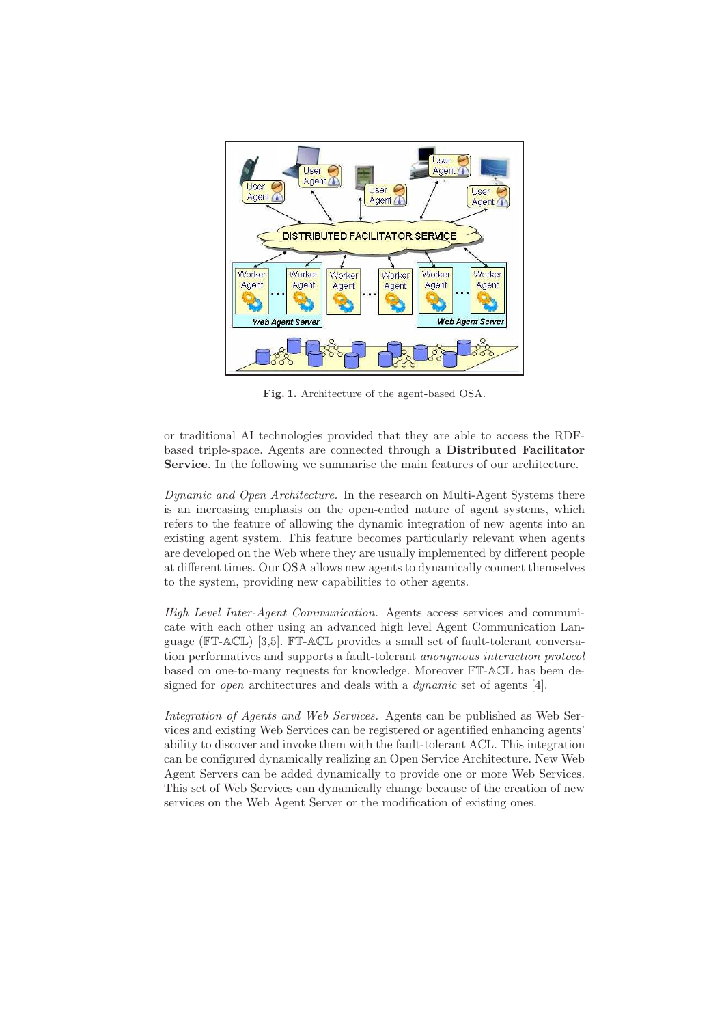

Fig. 1. Architecture of the agent-based OSA.

or traditional AI technologies provided that they are able to access the RDFbased triple-space. Agents are connected through a Distributed Facilitator Service. In the following we summarise the main features of our architecture.

Dynamic and Open Architecture. In the research on Multi-Agent Systems there is an increasing emphasis on the open-ended nature of agent systems, which refers to the feature of allowing the dynamic integration of new agents into an existing agent system. This feature becomes particularly relevant when agents are developed on the Web where they are usually implemented by different people at different times. Our OSA allows new agents to dynamically connect themselves to the system, providing new capabilities to other agents.

High Level Inter-Agent Communication. Agents access services and communicate with each other using an advanced high level Agent Communication Language (FT-ACL) [3,5]. FT-ACL provides a small set of fault-tolerant conversation performatives and supports a fault-tolerant anonymous interaction protocol based on one-to-many requests for knowledge. Moreover FT-ACL has been designed for *open* architectures and deals with a *dynamic* set of agents [4].

Integration of Agents and Web Services. Agents can be published as Web Services and existing Web Services can be registered or agentified enhancing agents' ability to discover and invoke them with the fault-tolerant ACL. This integration can be configured dynamically realizing an Open Service Architecture. New Web Agent Servers can be added dynamically to provide one or more Web Services. This set of Web Services can dynamically change because of the creation of new services on the Web Agent Server or the modification of existing ones.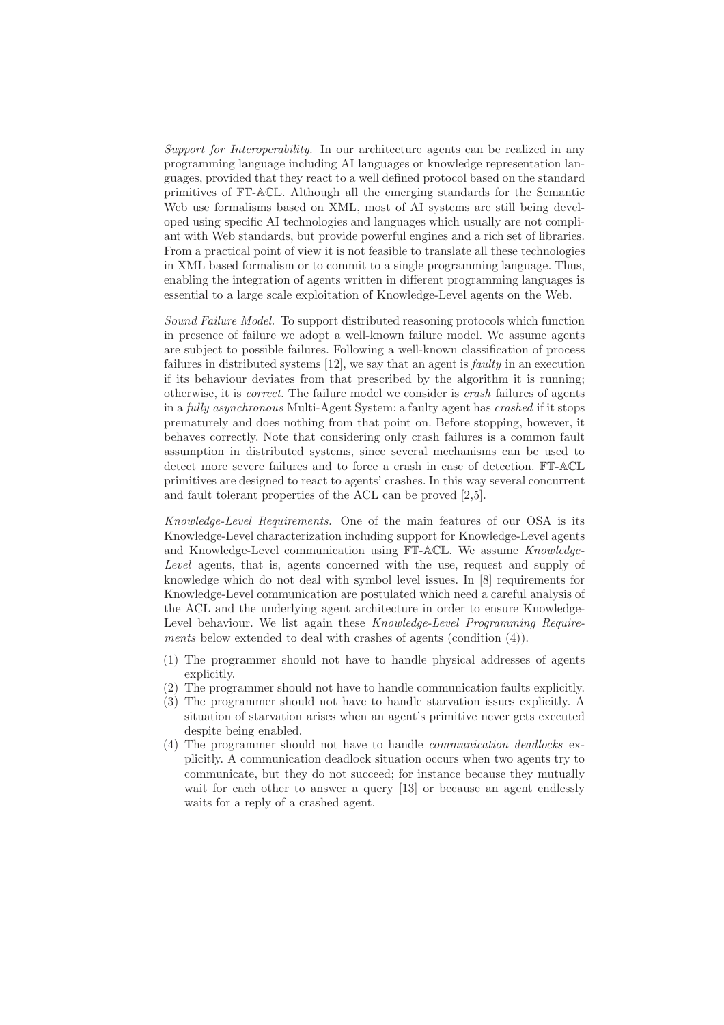Support for Interoperability. In our architecture agents can be realized in any programming language including AI languages or knowledge representation languages, provided that they react to a well defined protocol based on the standard primitives of FT-ACL. Although all the emerging standards for the Semantic Web use formalisms based on XML, most of AI systems are still being developed using specific AI technologies and languages which usually are not compliant with Web standards, but provide powerful engines and a rich set of libraries. From a practical point of view it is not feasible to translate all these technologies in XML based formalism or to commit to a single programming language. Thus, enabling the integration of agents written in different programming languages is essential to a large scale exploitation of Knowledge-Level agents on the Web.

Sound Failure Model. To support distributed reasoning protocols which function in presence of failure we adopt a well-known failure model. We assume agents are subject to possible failures. Following a well-known classification of process failures in distributed systems [12], we say that an agent is faulty in an execution if its behaviour deviates from that prescribed by the algorithm it is running; otherwise, it is correct. The failure model we consider is crash failures of agents in a fully asynchronous Multi-Agent System: a faulty agent has crashed if it stops prematurely and does nothing from that point on. Before stopping, however, it behaves correctly. Note that considering only crash failures is a common fault assumption in distributed systems, since several mechanisms can be used to detect more severe failures and to force a crash in case of detection. FT-ACL primitives are designed to react to agents' crashes. In this way several concurrent and fault tolerant properties of the ACL can be proved [2,5].

Knowledge-Level Requirements. One of the main features of our OSA is its Knowledge-Level characterization including support for Knowledge-Level agents and Knowledge-Level communication using FT-ACL. We assume Knowledge-Level agents, that is, agents concerned with the use, request and supply of knowledge which do not deal with symbol level issues. In [8] requirements for Knowledge-Level communication are postulated which need a careful analysis of the ACL and the underlying agent architecture in order to ensure Knowledge-Level behaviour. We list again these Knowledge-Level Programming Requirements below extended to deal with crashes of agents (condition  $(4)$ ).

- (1) The programmer should not have to handle physical addresses of agents explicitly.
- (2) The programmer should not have to handle communication faults explicitly.
- (3) The programmer should not have to handle starvation issues explicitly. A situation of starvation arises when an agent's primitive never gets executed despite being enabled.
- (4) The programmer should not have to handle communication deadlocks explicitly. A communication deadlock situation occurs when two agents try to communicate, but they do not succeed; for instance because they mutually wait for each other to answer a query [13] or because an agent endlessly waits for a reply of a crashed agent.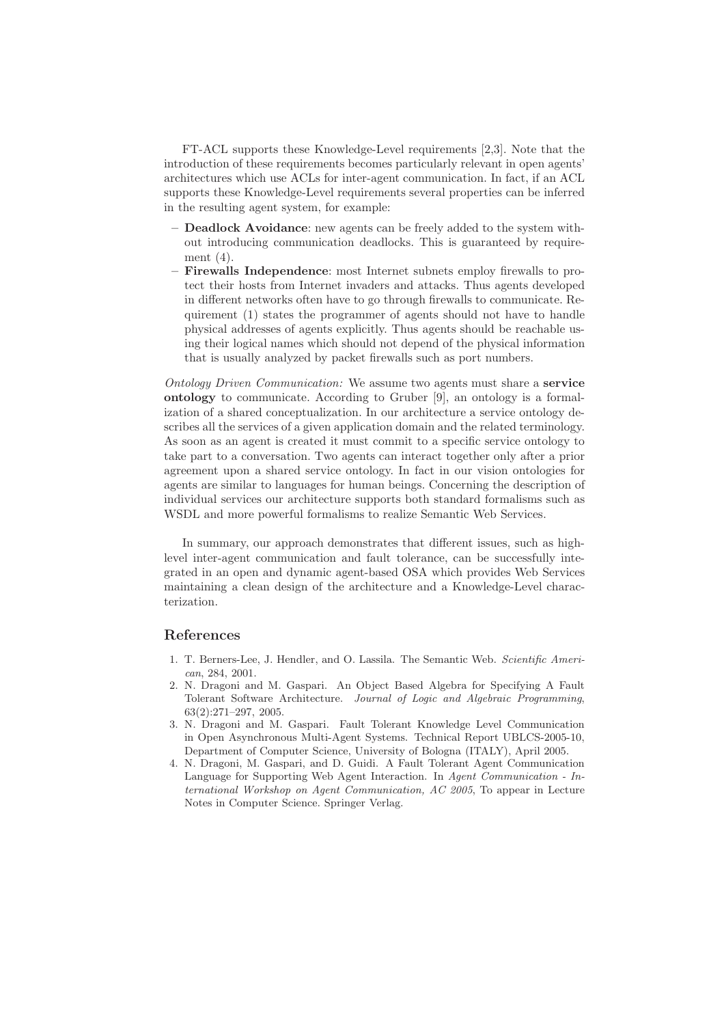FT-ACL supports these Knowledge-Level requirements [2,3]. Note that the introduction of these requirements becomes particularly relevant in open agents' architectures which use ACLs for inter-agent communication. In fact, if an ACL supports these Knowledge-Level requirements several properties can be inferred in the resulting agent system, for example:

- Deadlock Avoidance: new agents can be freely added to the system without introducing communication deadlocks. This is guaranteed by requirement (4).
- Firewalls Independence: most Internet subnets employ firewalls to protect their hosts from Internet invaders and attacks. Thus agents developed in different networks often have to go through firewalls to communicate. Requirement (1) states the programmer of agents should not have to handle physical addresses of agents explicitly. Thus agents should be reachable using their logical names which should not depend of the physical information that is usually analyzed by packet firewalls such as port numbers.

Ontology Driven Communication: We assume two agents must share a service ontology to communicate. According to Gruber [9], an ontology is a formalization of a shared conceptualization. In our architecture a service ontology describes all the services of a given application domain and the related terminology. As soon as an agent is created it must commit to a specific service ontology to take part to a conversation. Two agents can interact together only after a prior agreement upon a shared service ontology. In fact in our vision ontologies for agents are similar to languages for human beings. Concerning the description of individual services our architecture supports both standard formalisms such as WSDL and more powerful formalisms to realize Semantic Web Services.

In summary, our approach demonstrates that different issues, such as highlevel inter-agent communication and fault tolerance, can be successfully integrated in an open and dynamic agent-based OSA which provides Web Services maintaining a clean design of the architecture and a Knowledge-Level characterization.

## References

- 1. T. Berners-Lee, J. Hendler, and O. Lassila. The Semantic Web. Scientific American, 284, 2001.
- 2. N. Dragoni and M. Gaspari. An Object Based Algebra for Specifying A Fault Tolerant Software Architecture. Journal of Logic and Algebraic Programming, 63(2):271–297, 2005.
- 3. N. Dragoni and M. Gaspari. Fault Tolerant Knowledge Level Communication in Open Asynchronous Multi-Agent Systems. Technical Report UBLCS-2005-10, Department of Computer Science, University of Bologna (ITALY), April 2005.
- 4. N. Dragoni, M. Gaspari, and D. Guidi. A Fault Tolerant Agent Communication Language for Supporting Web Agent Interaction. In Agent Communication - International Workshop on Agent Communication, AC 2005, To appear in Lecture Notes in Computer Science. Springer Verlag.